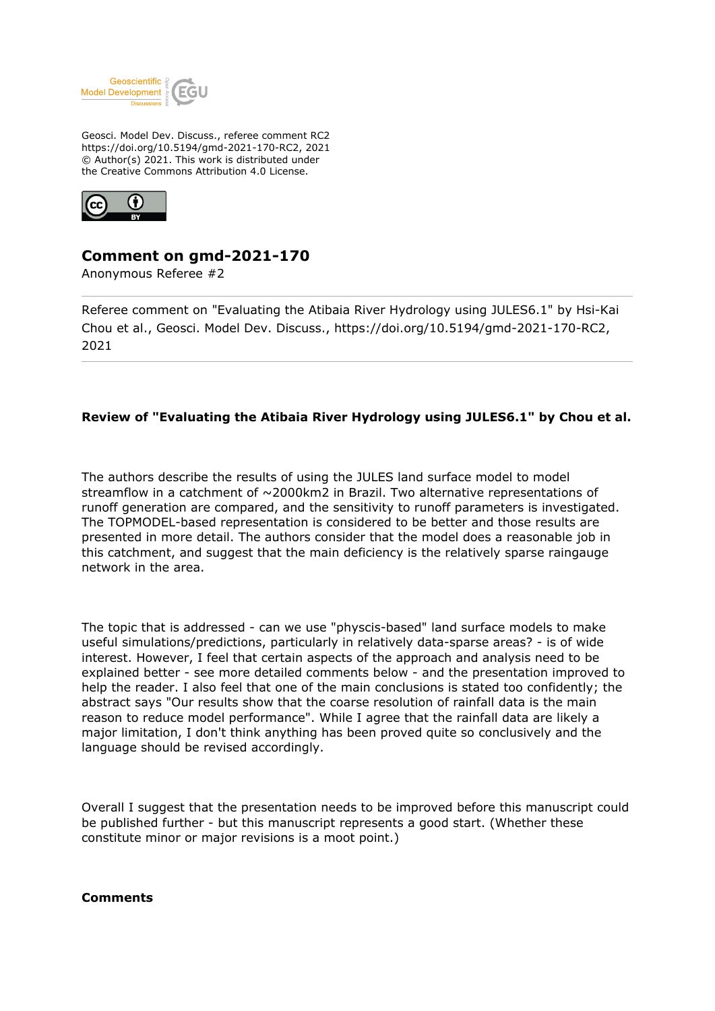

Geosci. Model Dev. Discuss., referee comment RC2 https://doi.org/10.5194/gmd-2021-170-RC2, 2021 © Author(s) 2021. This work is distributed under the Creative Commons Attribution 4.0 License.



## **Comment on gmd-2021-170**

Anonymous Referee #2

Referee comment on "Evaluating the Atibaia River Hydrology using JULES6.1" by Hsi-Kai Chou et al., Geosci. Model Dev. Discuss., https://doi.org/10.5194/gmd-2021-170-RC2, 2021

## **Review of "Evaluating the Atibaia River Hydrology using JULES6.1" by Chou et al.**

The authors describe the results of using the JULES land surface model to model streamflow in a catchment of ~2000km2 in Brazil. Two alternative representations of runoff generation are compared, and the sensitivity to runoff parameters is investigated. The TOPMODEL-based representation is considered to be better and those results are presented in more detail. The authors consider that the model does a reasonable job in this catchment, and suggest that the main deficiency is the relatively sparse raingauge network in the area.

The topic that is addressed - can we use "physcis-based" land surface models to make useful simulations/predictions, particularly in relatively data-sparse areas? - is of wide interest. However, I feel that certain aspects of the approach and analysis need to be explained better - see more detailed comments below - and the presentation improved to help the reader. I also feel that one of the main conclusions is stated too confidently; the abstract says "Our results show that the coarse resolution of rainfall data is the main reason to reduce model performance". While I agree that the rainfall data are likely a major limitation, I don't think anything has been proved quite so conclusively and the language should be revised accordingly.

Overall I suggest that the presentation needs to be improved before this manuscript could be published further - but this manuscript represents a good start. (Whether these constitute minor or major revisions is a moot point.)

## **Comments**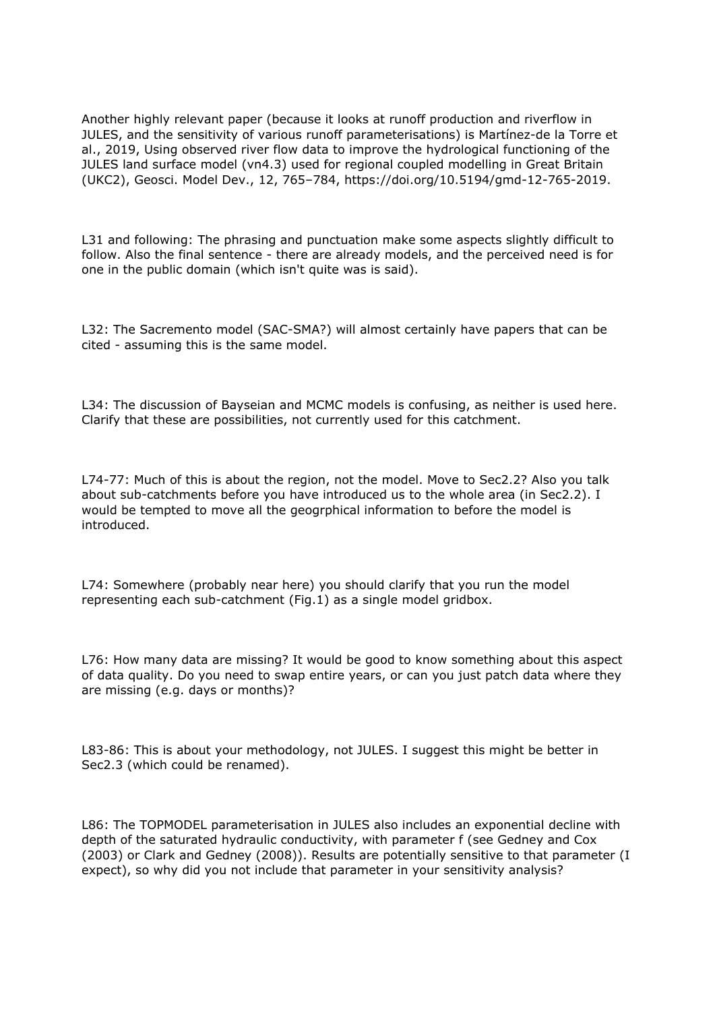Another highly relevant paper (because it looks at runoff production and riverflow in JULES, and the sensitivity of various runoff parameterisations) is Martínez-de la Torre et al., 2019, Using observed river flow data to improve the hydrological functioning of the JULES land surface model (vn4.3) used for regional coupled modelling in Great Britain (UKC2), Geosci. Model Dev., 12, 765–784, https://doi.org/10.5194/gmd-12-765-2019.

L31 and following: The phrasing and punctuation make some aspects slightly difficult to follow. Also the final sentence - there are already models, and the perceived need is for one in the public domain (which isn't quite was is said).

L32: The Sacremento model (SAC-SMA?) will almost certainly have papers that can be cited - assuming this is the same model.

L34: The discussion of Bayseian and MCMC models is confusing, as neither is used here. Clarify that these are possibilities, not currently used for this catchment.

L74-77: Much of this is about the region, not the model. Move to Sec2.2? Also you talk about sub-catchments before you have introduced us to the whole area (in Sec2.2). I would be tempted to move all the geogrphical information to before the model is introduced.

L74: Somewhere (probably near here) you should clarify that you run the model representing each sub-catchment (Fig.1) as a single model gridbox.

L76: How many data are missing? It would be good to know something about this aspect of data quality. Do you need to swap entire years, or can you just patch data where they are missing (e.g. days or months)?

L83-86: This is about your methodology, not JULES. I suggest this might be better in Sec2.3 (which could be renamed).

L86: The TOPMODEL parameterisation in JULES also includes an exponential decline with depth of the saturated hydraulic conductivity, with parameter f (see Gedney and Cox (2003) or Clark and Gedney (2008)). Results are potentially sensitive to that parameter (I expect), so why did you not include that parameter in your sensitivity analysis?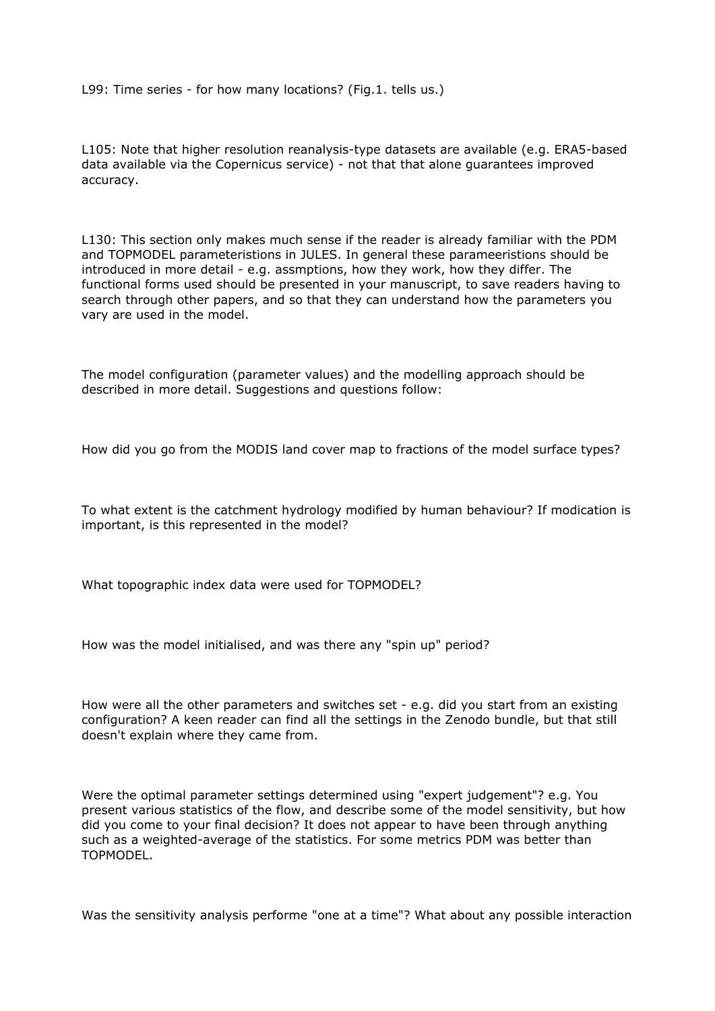L99: Time series - for how many locations? (Fig.1. tells us.)

L105: Note that higher resolution reanalysis-type datasets are available (e.g. ERA5-based data available via the Copernicus service) - not that that alone guarantees improved accuracy.

L130: This section only makes much sense if the reader is already familiar with the PDM and TOPMODEL parameteristions in JULES. In general these parameeristions should be introduced in more detail - e.g. assmptions, how they work, how they differ. The functional forms used should be presented in your manuscript, to save readers having to search through other papers, and so that they can understand how the parameters you vary are used in the model.

The model configuration (parameter values) and the modelling approach should be described in more detail. Suggestions and questions follow:

How did you go from the MODIS land cover map to fractions of the model surface types?

To what extent is the catchment hydrology modified by human behaviour? If modication is important, is this represented in the model?

What topographic index data were used for TOPMODEL?

How was the model initialised, and was there any "spin up" period?

How were all the other parameters and switches set - e.g. did you start from an existing configuration? A keen reader can find all the settings in the Zenodo bundle, but that still doesn't explain where they came from.

Were the optimal parameter settings determined using "expert judgement"? e.g. You present various statistics of the flow, and describe some of the model sensitivity, but how did you come to your final decision? It does not appear to have been through anything such as a weighted-average of the statistics. For some metrics PDM was better than TOPMODEL.

Was the sensitivity analysis performe "one at a time"? What about any possible interaction